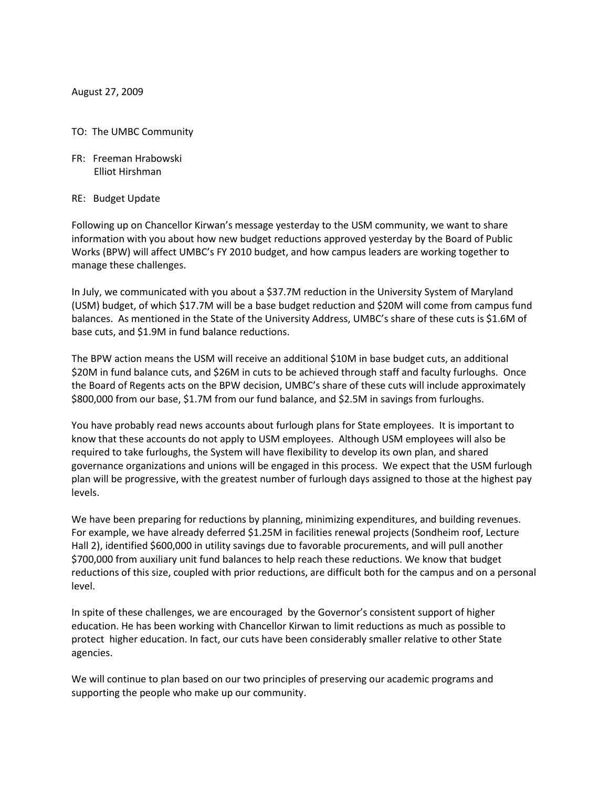August 27, 2009

## TO: The UMBC Community

- FR: Freeman Hrabowski Elliot Hirshman
- RE: Budget Update

Following up on Chancellor Kirwan's message yesterday to the USM community, we want to share information with you about how new budget reductions approved yesterday by the Board of Public Works (BPW) will affect UMBC's FY 2010 budget, and how campus leaders are working together to manage these challenges.

In July, we communicated with you about a \$37.7M reduction in the University System of Maryland (USM) budget, of which \$17.7M will be a base budget reduction and \$20M will come from campus fund balances. As mentioned in the State of the University Address, UMBC's share of these cuts is \$1.6M of base cuts, and \$1.9M in fund balance reductions.

The BPW action means the USM will receive an additional \$10M in base budget cuts, an additional \$20M in fund balance cuts, and \$26M in cuts to be achieved through staff and faculty furloughs. Once the Board of Regents acts on the BPW decision, UMBC's share of these cuts will include approximately \$800,000 from our base, \$1.7M from our fund balance, and \$2.5M in savings from furloughs.

You have probably read news accounts about furlough plans for State employees. It is important to know that these accounts do not apply to USM employees. Although USM employees will also be required to take furloughs, the System will have flexibility to develop its own plan, and shared governance organizations and unions will be engaged in this process. We expect that the USM furlough plan will be progressive, with the greatest number of furlough days assigned to those at the highest pay levels.

We have been preparing for reductions by planning, minimizing expenditures, and building revenues. For example, we have already deferred \$1.25M in facilities renewal projects (Sondheim roof, Lecture Hall 2), identified \$600,000 in utility savings due to favorable procurements, and will pull another \$700,000 from auxiliary unit fund balances to help reach these reductions. We know that budget reductions of this size, coupled with prior reductions, are difficult both for the campus and on a personal level.

In spite of these challenges, we are encouraged by the Governor's consistent support of higher education. He has been working with Chancellor Kirwan to limit reductions as much as possible to protect higher education. In fact, our cuts have been considerably smaller relative to other State agencies.

We will continue to plan based on our two principles of preserving our academic programs and supporting the people who make up our community.